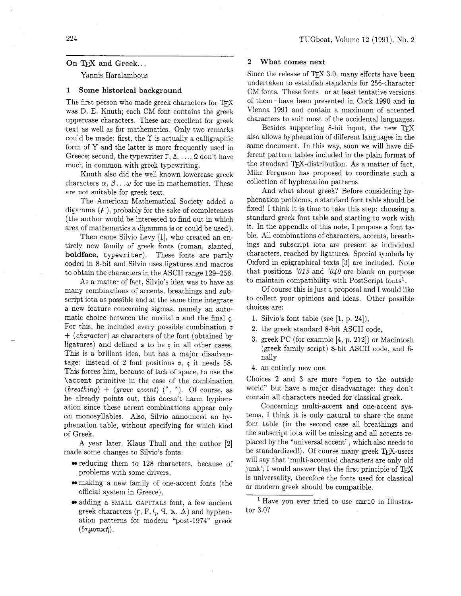## On TFX and Greek...

Yannis Haralambous

### **1** Some historical background

The first person who made greek characters for TFX was D. E. Knuth; each CM font contains the greek uppercase characters. These are excellent for greek text as well as for mathematics. Only two remarks could be made: first, the  $\Upsilon$  is actually a calligraphic form of Y and the latter is more frequently used in Greece; second, the typewriter  $\Gamma$ ,  $\Delta$ , ...,  $\Omega$  don't have much in common with greek typewriting.

Knuth also did the well known lowercase greek characters  $\alpha$ ,  $\beta$ ... $\omega$  for use in mathematics. These are not suitable for greek text.

The American Mathematical Society added a digamma  $(F)$ , probably for the sake of completeness (the author would be interested to find out in which area of mathematics a digamma is or could be used).

Then came Silvio Levy [1], who created an entirely new family of greek fonts (roman, slanted, boldface, typewriter). These fonts are partly coded in 8-bit and Silvio uses ligatures and macros to obtain the characters in the ASCII range 129-256.

As a matter of fact, Silvio's idea was to have as many combinations of accents, breathings and subscript iota as possible and at the same time integrate a new feature concerning sigmas, namely an automatic choice between the medial  $\sigma$  and the final  $\zeta$ . For this, he included every possible combination  $\sigma$ + *(character)* as characters of the font (obtained by ligatures) and defined s to be < in all other cases. This is a brillant idea, but has a major disadvantage: instead of 2 font positions  $\sigma$ ,  $\zeta$  it needs 58. This forces him, because of lack of space, to use the \accent primitive in the case of the combination  $\langle \text{breating} \rangle + \langle \text{grave accent} \rangle$  (\*, \*). Of course, as he already points out, this doesn't harm hyphenation since these accent combinations appear only on monosyllables. Also, Silvio announced an hyphenation table. without specifying for which kind of Greek.

A year later, Klaus Thull and the author [2] made some changes to Silvio's fonts:

- reducing them to 128 characters, because of problems with some drivers,
- making a new family of one-accent fonts (the official system in Greece),
- adding a SMALL CAPITALS font, a few ancient greek characters  $(F, F, \mathcal{L}, \mathcal{L}, \mathcal{L})$  and hyphenation patterns for modern "post-1974" greek *(δημοτική).*

## **2** What comes next

Since the release of T $EX\,3.0$ , many efforts have been undertaken to establish standards for 256-character CM fonts. These fonts - or at least tentative versions of them-have been presented in Cork 1990 and in Vienna 1991 and contain a maximum of accented characters to suit most of the occidental languages.

Besides supporting 8-bit input, the new  $T<sub>F</sub>X$ also allows hyphenation of different languages in the same document. In this way, soon we will have different pattern tables included in the plain format of the standard TEX-distribution. As a matter of fact, Mike Ferguson has proposed to coordinate such a collection of hyphenation patterns.

And what about greek? Before considering hyphenation problems, a standard font table should be fixed! I think it is time to take this step: choosing a standard greek font table and starting to work with it. In the appendix of this note, I propose a font table. All combinations of characters, accents, breathings and subscript iota are present as individual characters, reached by ligatures. Special symbols by Oxford in epigraphical texts [3] are included. Note that positions '013 and *'040* are blank on purpose to maintain compatibility with PostScript fonts<sup>1</sup>.

Of course this is just a proposal and I would like to collect your opinions and ideas. Other possible choices are:

- 1. Silvio's font table (see [I, p. 24]),
- 2. the greek standard 8-bit ASCII code,
- 3. greek PC (for example  $[4, p. 212]$ ) or Macintosh (greek family script) 8-bit ASCII code, and finally
- 4. an entirely new one.

Choices 2 and **3** are more "open to the outside world" but have a major disadvantage: they don't contain all characters needed for classical greek.

Concerning multi-accent and one-accent systems. I think it is only natural to share the same font table (in the second case all breathings and the subscript iota will be missing and all accents replaced by the "universal accent", which also needs to be standardized!). Of course many greek TFX-users will say that 'multi-accented characters are only old junk'; I would answer that the first principle of  $T_F X$ is universality. therefore the fonts used for classical or modern greek should be compatible.

<sup>1</sup> Have you ever tried to use cmr10 in Illustrator 3.0?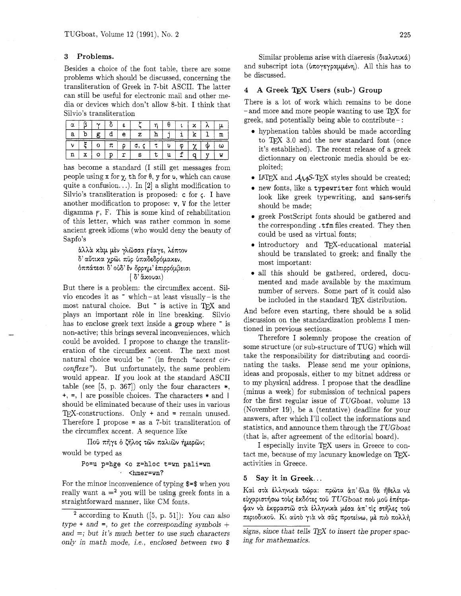## **3 Problems.**

Besides a choice of the font table, there are some problems which should be discussed, concerning the transliteration of Greek in 7-bit ASCII. The latter can still be useful for electronic mail and other media or devices which don't allow 8-bit. I think that Silvio's transliteration

|   |   | $\sim$ |             | Ê |   |                  |   | χ |  |
|---|---|--------|-------------|---|---|------------------|---|---|--|
| а |   |        |             |   | 7 |                  |   |   |  |
|   |   |        | ------<br>π | ο |   | ________________ | œ |   |  |
|   | x |        |             |   |   |                  | - |   |  |

has become a standard (I still get messages from people using **x** for  $\chi$ , **th** for  $\theta$ , **y** for **v**, which can cause quite a confusion...). In  $[2]$  a slight modification to Silvio's transliteration is proposed: c for  $\zeta$ . I have another modification to propose: **v,** V for the letter digamma r, F. This is some kind of rehabilitation of this Ietter, which was rather common in some ancient greek idioms (who would deny the beauty of Sapfo's

åλλά κάμ μὲν γλῶσσα ϝέαγε, λέπτον  $\delta$ ' αύτικα χρώι πύρ ύπαδεδρόμακεν, όππάτεσι δ' οὐδ' ἔν ὄρρημ' ἐπιρρόμβεισι [ 6' &xouar)

But there is a problem: the circumflex accent. Silvio encodes it as " which-at least visually-is the most natural choice. But " is active in TEX and plays an important rôle in line breaking. Silvio has to enclose greek text inside a group where  $\tilde{\ }$  is non-active; this brings several inconveniences, which could be avoided. I propose to change the transliteration of the circumflex accent. The next most natural choice would be  $\hat{ }$  (in french "accent circonflexe"). But unfortunately, the same problem would appear. If you look at the standard ASCII table (see  $[5, p. 367]$ ) only the four characters  $\ast$ ,  $+, =, \perp$  are possible choices. The characters  $*$  and  $\perp$ should be eliminated because of their uses in various  $TFX-constructions. Only + and = remain unused.$ Therefore I propose = as a 7-bit transliteration of the circumflex accent. A sequence like

no6 nijye *b* (ijAo< z6v nuXr6v fiyep3v; would be typed as

# Po=u p=hge <o z=hloc t=wn pali=wn <hmer=wn?

For the minor inconvenience of typing \$=\$ when you really want  $a = 2$  you will be using greek fonts in a straightforward manner, like CM fonts.

Similar problems arise with diaeresis ( $\delta$ ia $\lambda$ utix $\alpha$ ) and subscript iota ( $\delta \pi$ o $\gamma$ e $\gamma$ pa $\mu\mu\epsilon\nu\eta$ ). All this has to be discussed.

## **4 A Greek** TEX **Users (sub-) Group**

There is a lot of work which remains to be done - and more and more people wanting to use  $T_F X$  for  $greek$ , and potentially being able to contribute  $-$ :

- hyphenation tables should be made according to TEX 3.0 and the new standard font (once it's established). The recent release of a greek dictionnary on electronic media should be exploited;
- IATEX and  $A_{\mathcal{M}}S$ -TEX styles should be created;
- **<sup>0</sup>**new fonts, like a typewriter font which would look like greek typewriting, and sans-serifs should be made;
- **•** greek PostScript fonts should be gathered and the corresponding . tfm files created. They then could be used as virtual fonts;
- **•** introductory and TEX-educational material should be translated to greek; and finally the most important:
- **0** all this should be gathered, ordered, documented and made available by the maximum number of servers. Some part of it could also be included in the standard TFX distribution.

And before even starting, there should be a solid discussion on the standardization problems I mentioned in previous sections.

Therefore I solemnly propose the creation of some structure (or sub-structure of TUG) which will take the responsibility for distributing and coordinating the tasks. Please send me your opinions, ideas and proposals, either to my bitnet address or to my physical address. I propose that the deadline (minus a week) for submission of technical papers for the first regular issue of TUGboat, volume 13 (November 19), be a (tentative) deadline for your answers, after which I'll collect the informations and statistics, and announce them through the TUGboat (that is, after agreement of the editorial board).

I especially invite TFX users in Greece to contact me, because of my lacunary knowledge on TFXactivities in Greece.

### **<sup>5</sup>Say it in Greek..** .

Kai στα έλληνιχα τώρα: πρώτα απ' δλα θα ήθελα να εύχαριστήσω τους έκδότες του  $TUGboat$  που μου έπέτρεφαν να έχφραστῶ στα έλληνικα μέσα απ' τις στῆλες τοῦ περιοδικού. Κι αύτό για να σάς προτείνω, μέ πιο πολλή

signs, since that tells  $T \nsubseteq X$  to insert the proper spac-

 $^2$  according to Knuth  $([5, p. 51])$ : You can also type + and =, to get the corresponding symbols + and  $=$ ; but it's much better to use such characters only in math mode, i.e., enclosed between two  $\frac{1}{2}$  ing for mathematics.